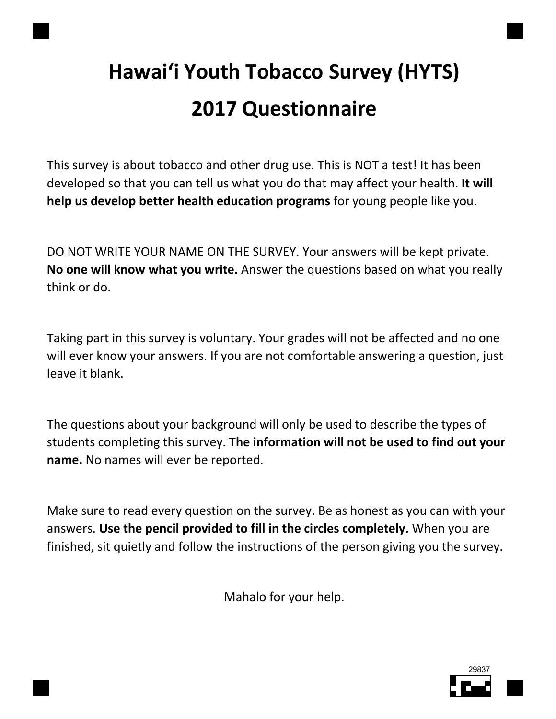# Hawai'i Youth Tobacco Survey (HYTS) 2017 Questionnaire

This survey is about tobacco and other drug use. This is NOT a test! It has been developed so that you can tell us what you do that may affect your health. It will help us develop better health education programs for young people like you.

DO NOT WRITE YOUR NAME ON THE SURVEY. Your answers will be kept private. No one will know what you write. Answer the questions based on what you really think or do.

Taking part in this survey is voluntary. Your grades will not be affected and no one will ever know your answers. If you are not comfortable answering a question, just leave it blank.

The questions about your background will only be used to describe the types of students completing this survey. The information will not be used to find out your name. No names will ever be reported.

Make sure to read every question on the survey. Be as honest as you can with your answers. Use the pencil provided to fill in the circles completely. When you are finished, sit quietly and follow the instructions of the person giving you the survey.

Mahalo for your help.

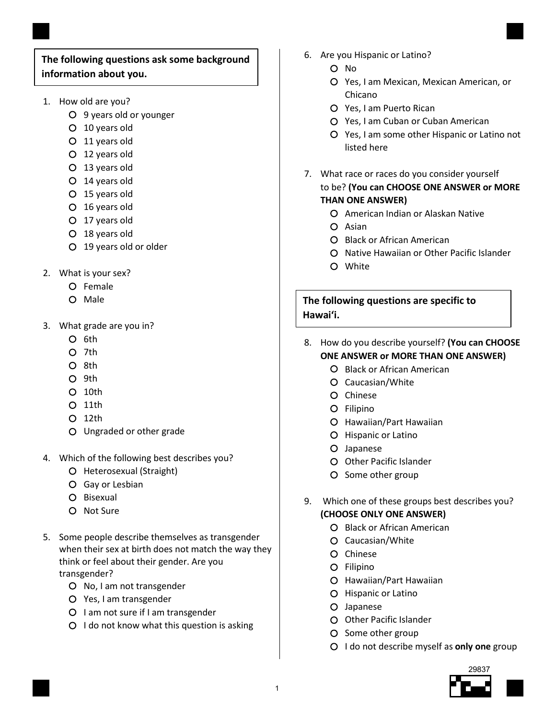#### The following questions ask some background information about you.

- 1. How old are you?
	- 9 years old or younger
	- 10 years old
	- 11 years old
	- 12 years old
	- 13 years old
	- 14 years old
	- 15 years old
	- 16 years old
	- 17 years old
	- 18 years old
	- 19 years old or older
- 2. What is your sex?
	- Female
	- O Male
- 3. What grade are you in?
	- $O$  6th
	- $O$  7th
	- O 8th
	- O 9th
	- $O$  10th
	- $O$  11th
	- 12th
	- Ungraded or other grade
- 4. Which of the following best describes you?
	- O Heterosexual (Straight)
	- Gay or Lesbian
	- O Bisexual
	- Not Sure
- 5. Some people describe themselves as transgender when their sex at birth does not match the way they think or feel about their gender. Are you transgender?
	- O No, I am not transgender
	- Yes, I am transgender
	- O I am not sure if I am transgender
	- $O$  I do not know what this question is asking
- 6. Are you Hispanic or Latino?
	- O No
	- Yes, I am Mexican, Mexican American, or Chicano
	- Yes, I am Puerto Rican
	- Yes, I am Cuban or Cuban American
	- Yes, I am some other Hispanic or Latino not listed here
- 7. What race or races do you consider yourself to be? (You can CHOOSE ONE ANSWER or MORE THAN ONE ANSWER)
	- American Indian or Alaskan Native
	- O Asian
	- **O** Black or African American
	- O Native Hawaiian or Other Pacific Islander
	- White

The following questions are specific to Hawai'i.

- 8. How do you describe yourself? (You can CHOOSE
	- ONE ANSWER or MORE THAN ONE ANSWER)
		- **O** Black or African American
		- Caucasian/White
		- O Chinese
		- Filipino
		- Hawaiian/Part Hawaiian
		- O Hispanic or Latino
		- Japanese
		- O Other Pacific Islander
		- O Some other group
- 9. Which one of these groups best describes you? (CHOOSE ONLY ONE ANSWER)
	- **O** Black or African American
	- Caucasian/White
	- O Chinese
	- Filipino
	- Hawaiian/Part Hawaiian
	- O Hispanic or Latino
	- Japanese
	- O Other Pacific Islander
	- O Some other group
	- $O$  I do not describe myself as only one group

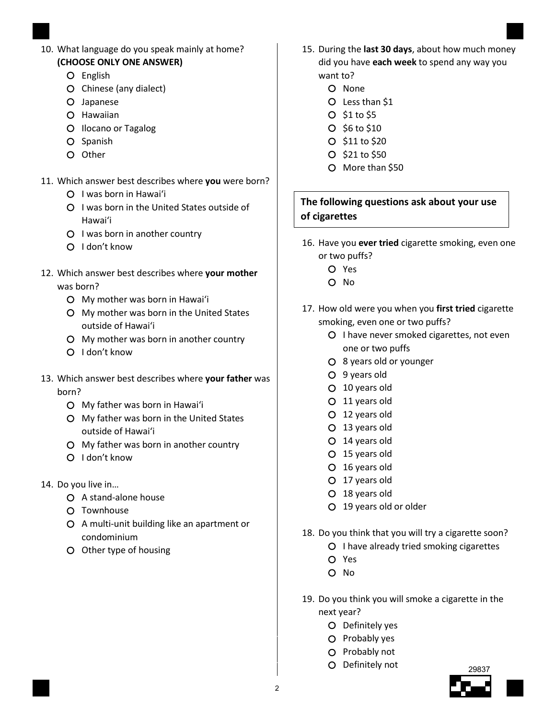- 10. What language do you speak mainly at home? (CHOOSE ONLY ONE ANSWER)
	- O English
	- O Chinese (any dialect)
	- Japanese
	- O Hawaiian
	- O Ilocano or Tagalog
	- O Spanish
	- O Other
- 11. Which answer best describes where you were born?
	- I was born in Hawai'i
	- O I was born in the United States outside of Hawai'i
	- O I was born in another country
	- $O$  I don't know
- 12. Which answer best describes where your mother was born?
	- My mother was born in Hawai'i
	- My mother was born in the United States outside of Hawai'i
	- My mother was born in another country
	- O I don't know
- 13. Which answer best describes where your father was born?
	- My father was born in Hawai'i
	- My father was born in the United States outside of Hawai'i
	- My father was born in another country
	- I don't know
- 14. Do you live in…
	- A stand-alone house
	- O Townhouse
	- A multi-unit building like an apartment or condominium
	- O Other type of housing
- 15. During the last 30 days, about how much money did you have each week to spend any way you want to?
	- O None
	- Less than \$1
	- $O$  \$1 to \$5
	- $O$  \$6 to \$10
	- O \$11 to \$20
	- $O$  \$21 to \$50
	- O More than \$50

### The following questions ask about your use of cigarettes

- 16. Have you ever tried cigarette smoking, even one or two puffs?
	- Yes
	- O No
- 17. How old were you when you first tried cigarette smoking, even one or two puffs?
	- O I have never smoked cigarettes, not even one or two puffs
	- 8 years old or younger
	- 9 years old
	- 10 years old
	- 11 years old
	- 12 years old
	- 13 years old
	- 14 years old
	- 15 years old
	- 16 years old
	- 17 years old
	- 18 years old
	- 19 years old or older
- 18. Do you think that you will try a cigarette soon?
	- O I have already tried smoking cigarettes
	- Yes
	- O No
- 19. Do you think you will smoke a cigarette in the next year?
	- O Definitely yes
	- O Probably yes
	- O Probably not
	- Definitely not

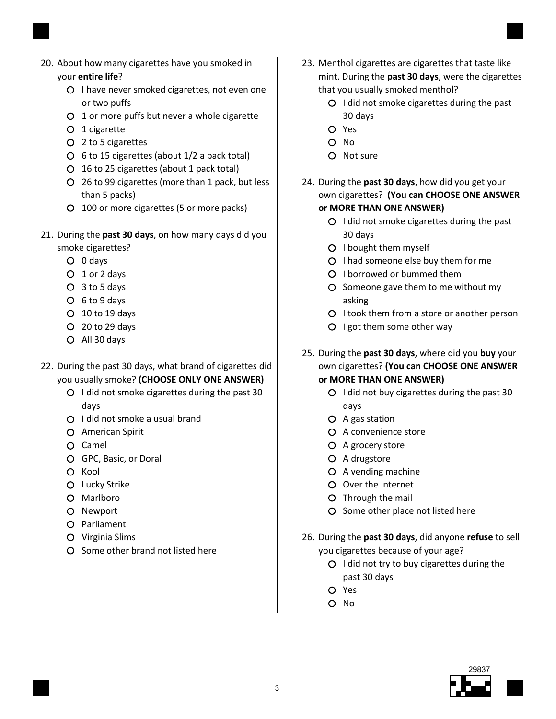

- 20. About how many cigarettes have you smoked in your entire life?
	- O I have never smoked cigarettes, not even one or two puffs
	- 1 or more puffs but never a whole cigarette
	- O 1 cigarette
	- 2 to 5 cigarettes
	- $\circ$  6 to 15 cigarettes (about 1/2 a pack total)
	- 16 to 25 cigarettes (about 1 pack total)
	- 26 to 99 cigarettes (more than 1 pack, but less than 5 packs)
	- 100 or more cigarettes (5 or more packs)
- 21. During the past 30 days, on how many days did you
	- smoke cigarettes?
		- 0 days
		- 1 or 2 days
		- 3 to 5 days
		- 6 to 9 days
		- 10 to 19 days
		- 20 to 29 days
		- All 30 days
- 22. During the past 30 days, what brand of cigarettes did you usually smoke? (CHOOSE ONLY ONE ANSWER)
	- $O$  I did not smoke cigarettes during the past 30 days
	- O I did not smoke a usual brand
	- American Spirit
	- O Camel
	- GPC, Basic, or Doral
	- $O$  Kool
	- O Lucky Strike
	- O Marlboro
	- O Newport
	- O Parliament
	- Virginia Slims
	- O Some other brand not listed here
- 23. Menthol cigarettes are cigarettes that taste like mint. During the past 30 days, were the cigarettes that you usually smoked menthol?
	- $O$  I did not smoke cigarettes during the past 30 days
	- Yes
	- $O$  No
	- O Not sure
- 24. During the past 30 days, how did you get your own cigarettes? (You can CHOOSE ONE ANSWER or MORE THAN ONE ANSWER)
	- $O$  I did not smoke cigarettes during the past 30 days
	- O I bought them myself
	- $O$  I had someone else buy them for me
	- O I borrowed or bummed them
	- O Someone gave them to me without my asking
	- O I took them from a store or another person
	- O I got them some other way
- 25. During the past 30 days, where did you buy your own cigarettes? (You can CHOOSE ONE ANSWER or MORE THAN ONE ANSWER)
	- $O$  I did not buy cigarettes during the past 30 days
	- A gas station
	- A convenience store
	- A grocery store
	- O A drugstore
	- A vending machine
	- Over the Internet
	- O Through the mail
	- O Some other place not listed here
- 26. During the past 30 days, did anyone refuse to sell you cigarettes because of your age?
	- $O$  I did not try to buy cigarettes during the past 30 days
	- Yes
	- O No

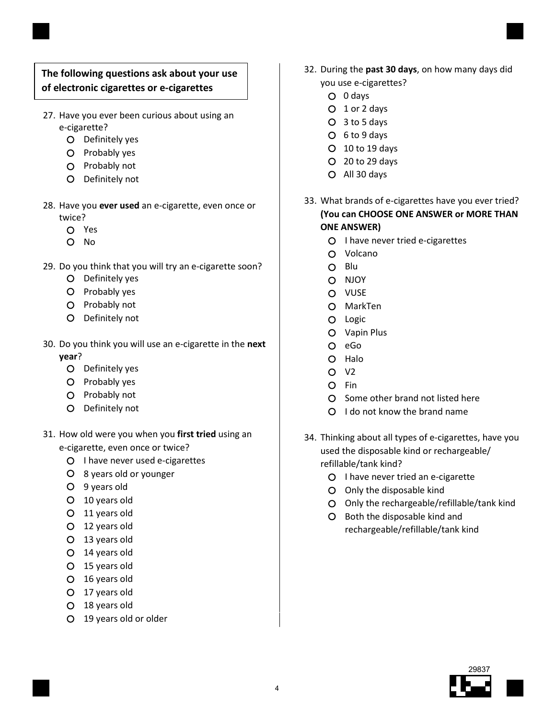#### The following questions ask about your use of electronic cigarettes or e-cigarettes

- 27. Have you ever been curious about using an e-cigarette?
	- O Definitely yes
	- O Probably yes
	- O Probably not
	- Definitely not
- 28. Have you ever used an e-cigarette, even once or twice?
	- Yes
	- O No
- 29. Do you think that you will try an e-cigarette soon?
	- Definitely yes
	- O Probably yes
	- O Probably not
	- Definitely not
- 30. Do you think you will use an e-cigarette in the next year?
	- O Definitely yes
	- O Probably yes
	- O Probably not
	- O Definitely not
- 31. How old were you when you first tried using an e-cigarette, even once or twice?
	- O I have never used e-cigarettes
	- 8 years old or younger
	- 9 years old
	- 10 years old
	- 11 years old
	- 12 years old
	- 13 years old
	- 14 years old
	- 15 years old
	- 16 years old
	- 17 years old
	- 18 years old
	- 19 years old or older
- 32. During the past 30 days, on how many days did you use e-cigarettes?
	- 0 days
	- 1 or 2 days
	- 3 to 5 days
	- 6 to 9 days
	- 10 to 19 days
	- 20 to 29 days
	- All 30 days
- 33. What brands of e-cigarettes have you ever tried? (You can CHOOSE ONE ANSWER or MORE THAN ONE ANSWER)
	- O I have never tried e-cigarettes
	- Volcano
	- O Blu
	- O NJOY
	- O VUSE
	- MarkTen
	- O Logic
	- Vapin Plus
	- O eGo
	- O Halo
	- $O$  V<sub>2</sub>
	- O Fin
	- O Some other brand not listed here
	- O I do not know the brand name
- 34. Thinking about all types of e-cigarettes, have you used the disposable kind or rechargeable/ refillable/tank kind?
	- O I have never tried an e-cigarette
	- Only the disposable kind
	- Only the rechargeable/refillable/tank kind
	- O Both the disposable kind and rechargeable/refillable/tank kind

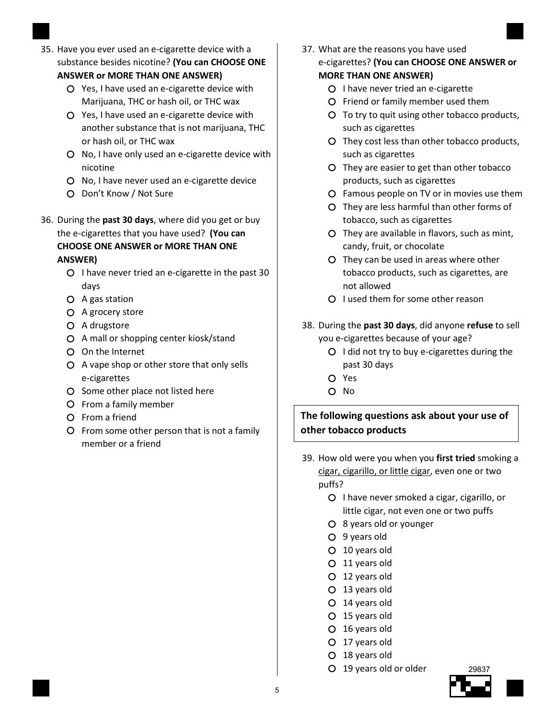35. Have you ever used an e-cigarette device with a substance besides nicotine? (You can CHOOSE ONE

#### ANSWER or MORE THAN ONE ANSWER)

- Yes, I have used an e-cigarette device with Marijuana, THC or hash oil, or THC wax
- Yes, I have used an e-cigarette device with another substance that is not marijuana, THC or hash oil, or THC wax
- O No, I have only used an e-cigarette device with nicotine
- O No, I have never used an e-cigarette device
- Don't Know / Not Sure
- 36. During the past 30 days, where did you get or buy the e-cigarettes that you have used? (You can

#### CHOOSE ONE ANSWER or MORE THAN ONE ANSWER)

- $O$  I have never tried an e-cigarette in the past 30 days
- A gas station
- A grocery store
- O A drugstore
- A mall or shopping center kiosk/stand
- On the Internet
- A vape shop or other store that only sells e-cigarettes
- O Some other place not listed here
- From a family member
- From a friend
- From some other person that is not a family member or a friend
- 37. What are the reasons you have used e-cigarettes? (You can CHOOSE ONE ANSWER or MORE THAN ONE ANSWER)
	- O I have never tried an e-cigarette
	- Friend or family member used them
	- To try to quit using other tobacco products, such as cigarettes
	- They cost less than other tobacco products, such as cigarettes
	- They are easier to get than other tobacco products, such as cigarettes
	- Famous people on TV or in movies use them
	- They are less harmful than other forms of tobacco, such as cigarettes
	- They are available in flavors, such as mint, candy, fruit, or chocolate
	- They can be used in areas where other tobacco products, such as cigarettes, are not allowed
	- O I used them for some other reason
- 38. During the past 30 days, did anyone refuse to sell you e-cigarettes because of your age?
	- $O$  I did not try to buy e-cigarettes during the past 30 days
	- Yes
	- O No

# The following questions ask about your use of other tobacco products

- 39. How old were you when you first tried smoking a cigar, cigarillo, or little cigar, even one or two puffs?
	- O I have never smoked a cigar, cigarillo, or little cigar, not even one or two puffs
	- 8 years old or younger
	- 9 years old
	- 10 years old
	- 11 years old
	- 12 years old
	- 13 years old
	- 14 years old
	- 15 years old
	- 16 years old
	- 17 years old
	- 18 years old
	- 19 years old or older

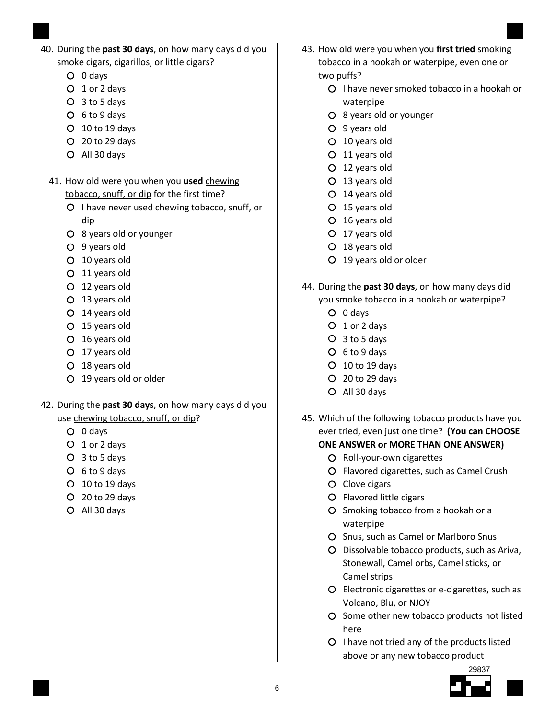- 40. During the past 30 days, on how many days did you smoke cigars, cigarillos, or little cigars?
	- 0 days
	- 1 or 2 days
	- 3 to 5 days
	- 6 to 9 days
	- 10 to 19 days
	- 20 to 29 days
	- All 30 days
	- 41. How old were you when you used chewing tobacco, snuff, or dip for the first time?
		- O I have never used chewing tobacco, snuff, or dip
		- 8 years old or younger
		- 9 years old
		- 10 years old
		- 11 years old
		- 12 years old
		- 13 years old
		- 14 years old
		- 15 years old
		- 16 years old
		- 17 years old
		- 18 years old
		- 19 years old or older
- 42. During the past 30 days, on how many days did you use chewing tobacco, snuff, or dip?
	- 0 days
	- 1 or 2 days
	- 3 to 5 days
	- 6 to 9 days
	- 10 to 19 days
	- 20 to 29 days
	- All 30 days
- 43. How old were you when you first tried smoking tobacco in a hookah or waterpipe, even one or two puffs?
	- O I have never smoked tobacco in a hookah or waterpipe
	- 8 years old or younger
	- 9 years old
	- 10 years old
	- 11 years old
	- 12 years old
	- 13 years old
	- 14 years old
	- 15 years old
	- 16 years old
	- 17 years old
	- 18 years old
	- 19 years old or older
- 44. During the past 30 days, on how many days did you smoke tobacco in a hookah or waterpipe?
	- 0 days
	- O 1 or 2 days
	- 3 to 5 days
	- 6 to 9 days
	- 10 to 19 days
	- 20 to 29 days
	- All 30 days
- 45. Which of the following tobacco products have you ever tried, even just one time? (You can CHOOSE ONE ANSWER or MORE THAN ONE ANSWER)
	- O Roll-your-own cigarettes
	- Flavored cigarettes, such as Camel Crush
	- O Clove cigars
	- Flavored little cigars
	- O Smoking tobacco from a hookah or a waterpipe
	- O Snus, such as Camel or Marlboro Snus
	- Dissolvable tobacco products, such as Ariva, Stonewall, Camel orbs, Camel sticks, or Camel strips
	- Electronic cigarettes or e-cigarettes, such as Volcano, Blu, or NJOY
	- O Some other new tobacco products not listed here
	- O I have not tried any of the products listed above or any new tobacco product

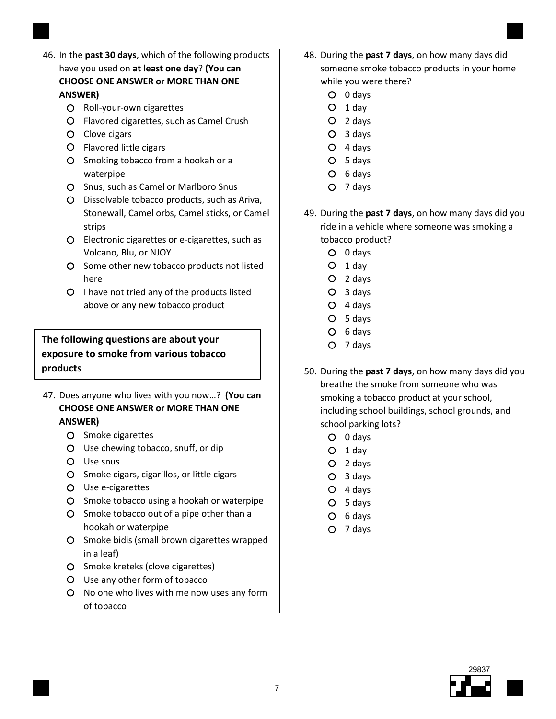- 46. In the past 30 days, which of the following products have you used on at least one day? (You can CHOOSE ONE ANSWER or MORE THAN ONE ANSWER)
	- O Roll-your-own cigarettes
	- Flavored cigarettes, such as Camel Crush
	- O Clove cigars
	- Flavored little cigars
	- O Smoking tobacco from a hookah or a waterpipe
	- O Snus, such as Camel or Marlboro Snus
	- Dissolvable tobacco products, such as Ariva, Stonewall, Camel orbs, Camel sticks, or Camel strips
	- Electronic cigarettes or e-cigarettes, such as Volcano, Blu, or NJOY
	- O Some other new tobacco products not listed here
	- $O$  I have not tried any of the products listed above or any new tobacco product

#### The following questions are about your exposure to smoke from various tobacco products

- 47. Does anyone who lives with you now...? (You can CHOOSE ONE ANSWER or MORE THAN ONE ANSWER)
	- O Smoke cigarettes
	- Use chewing tobacco, snuff, or dip
	- Use snus
	- O Smoke cigars, cigarillos, or little cigars
	- Use e-cigarettes
	- O Smoke tobacco using a hookah or waterpipe
	- O Smoke tobacco out of a pipe other than a hookah or waterpipe
	- O Smoke bidis (small brown cigarettes wrapped in a leaf)
	- O Smoke kreteks (clove cigarettes)
	- Use any other form of tobacco
	- No one who lives with me now uses any form of tobacco
- 48. During the past 7 days, on how many days did someone smoke tobacco products in your home while you were there?
	- 0 days
	- $O$  1 day
	- 2 days
	- 3 days
	- 4 days
	- 5 days
	- O 6 days
	- O 7 days
- 49. During the past 7 days, on how many days did you ride in a vehicle where someone was smoking a tobacco product?
	- 0 days
	- $O$  1 day
	- 2 days
	- 3 days
	- 4 days
	- 5 days
	- O 6 days
	- O 7 days
- 50. During the past 7 days, on how many days did you breathe the smoke from someone who was smoking a tobacco product at your school, including school buildings, school grounds, and school parking lots?
	- 0 days
	- $O$  1 day
	- 2 days
	- 3 days
	- 4 days
	- 5 days
	- O 6 days
	- O 7 days

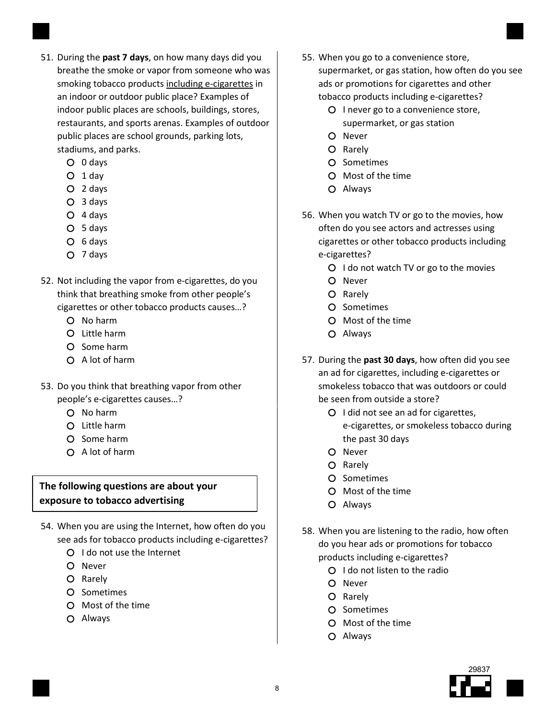- 51. During the past 7 days, on how many days did you breathe the smoke or vapor from someone who was smoking tobacco products including e-cigarettes in an indoor or outdoor public place? Examples of indoor public places are schools, buildings, stores, restaurants, and sports arenas. Examples of outdoor public places are school grounds, parking lots, stadiums, and parks.
	- 0 days
	- $O$  1 day
	- 2 days
	- 3 days
	- 4 days
	- 5 days
	- 6 days
	- 7 days
- 52. Not including the vapor from e-cigarettes, do you think that breathing smoke from other people's cigarettes or other tobacco products causes…?
	- No harm
	- Little harm
	- O Some harm
	- $O$  A lot of harm
- 53. Do you think that breathing vapor from other people's e-cigarettes causes…?
	- No harm
	- Little harm
	- O Some harm
	- $\Omega$  A lot of harm

#### The following questions are about your exposure to tobacco advertising

- 54. When you are using the Internet, how often do you see ads for tobacco products including e-cigarettes?
	- O I do not use the Internet
	- O Never
	- O Rarely
	- O Sometimes
	- Most of the time
	- Always
- 55. When you go to a convenience store, supermarket, or gas station, how often do you see ads or promotions for cigarettes and other tobacco products including e-cigarettes?
	- O I never go to a convenience store, supermarket, or gas station
	- O Never
	- O Rarely
	- O Sometimes
	- Most of the time
	- Always
- 56. When you watch TV or go to the movies, how often do you see actors and actresses using cigarettes or other tobacco products including e-cigarettes?
	- $O$  I do not watch TV or go to the movies
	- O Never
	- O Rarely
	- O Sometimes
	- Most of the time
	- Always
- 57. During the past 30 days, how often did you see an ad for cigarettes, including e-cigarettes or smokeless tobacco that was outdoors or could be seen from outside a store?
	- O I did not see an ad for cigarettes, e-cigarettes, or smokeless tobacco during the past 30 days
	- O Never
	- O Rarely
	- O Sometimes
	- Most of the time
	- Always
- 58. When you are listening to the radio, how often do you hear ads or promotions for tobacco products including e-cigarettes?
	- Q I do not listen to the radio
	- O Never
	- O Rarely
	- O Sometimes
	- Most of the time
	- Always

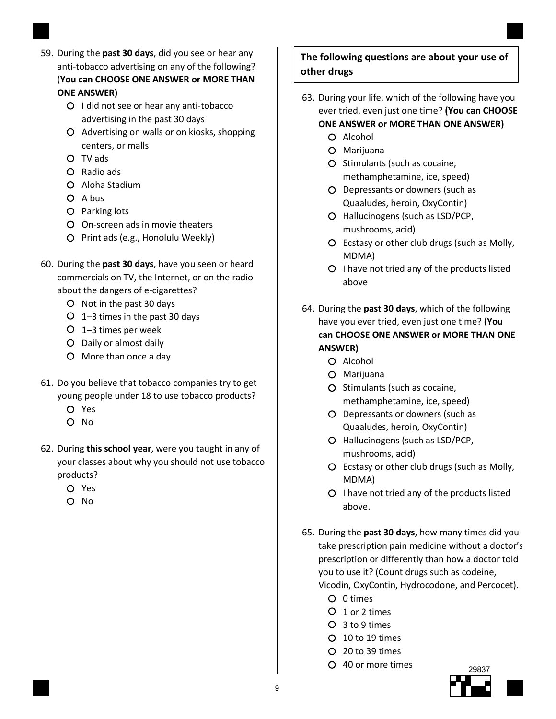- 59. During the past 30 days, did you see or hear any anti-tobacco advertising on any of the following? (You can CHOOSE ONE ANSWER or MORE THAN ONE ANSWER)
	- O I did not see or hear any anti-tobacco advertising in the past 30 days
	- Advertising on walls or on kiosks, shopping centers, or malls
	- TV ads
	- Radio ads
	- Aloha Stadium
	- O A bus
	- O Parking lots
	- On-screen ads in movie theaters
	- Print ads (e.g., Honolulu Weekly)
- 60. During the past 30 days, have you seen or heard commercials on TV, the Internet, or on the radio about the dangers of e-cigarettes?
	- O Not in the past 30 days
	- $O$  1–3 times in the past 30 days
	- 1–3 times per week
	- Daily or almost daily
	- More than once a day
- 61. Do you believe that tobacco companies try to get young people under 18 to use tobacco products?
	- Yes
	- $O$  No.
- 62. During this school year, were you taught in any of your classes about why you should not use tobacco products?
	- Yes
	- $O$  No

#### The following questions are about your use of other drugs

- 63. During your life, which of the following have you ever tried, even just one time? (You can CHOOSE ONE ANSWER or MORE THAN ONE ANSWER)
	- $O$  Alcohol
	- Marijuana
	- O Stimulants (such as cocaine, methamphetamine, ice, speed)
	- Depressants or downers (such as Quaaludes, heroin, OxyContin)
	- O Hallucinogens (such as LSD/PCP, mushrooms, acid)
	- Ecstasy or other club drugs (such as Molly, MDMA)
	- O I have not tried any of the products listed above
- 64. During the past 30 days, which of the following have you ever tried, even just one time? (You can CHOOSE ONE ANSWER or MORE THAN ONE ANSWER)
	- O Alcohol
	- Marijuana
	- O Stimulants (such as cocaine, methamphetamine, ice, speed)
	- Depressants or downers (such as Quaaludes, heroin, OxyContin)
	- Hallucinogens (such as LSD/PCP, mushrooms, acid)
	- Ecstasy or other club drugs (such as Molly, MDMA)
	- O I have not tried any of the products listed above.
- 65. During the past 30 days, how many times did you take prescription pain medicine without a doctor's prescription or differently than how a doctor told you to use it? (Count drugs such as codeine, Vicodin, OxyContin, Hydrocodone, and Percocet).
	- O 0 times
	- O 1 or 2 times
	- 3 to 9 times
	- 10 to 19 times
	- 20 to 39 times
	- 40 or more times

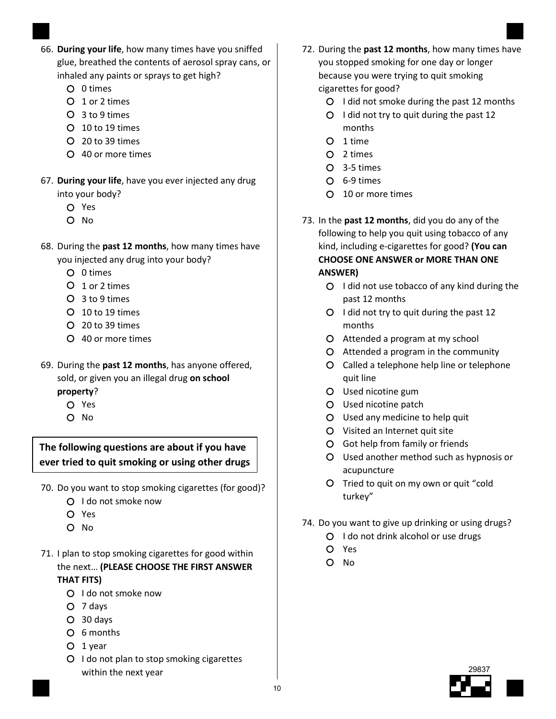- 66. During your life, how many times have you sniffed glue, breathed the contents of aerosol spray cans, or inhaled any paints or sprays to get high?
	- O 0 times
	- O 1 or 2 times
	- 3 to 9 times
	- 10 to 19 times
	- 20 to 39 times
	- 40 or more times
- 67. During your life, have you ever injected any drug into your body?
	- Yes
	- O No
- 68. During the past 12 months, how many times have you injected any drug into your body?
	- 0 times
	- O 1 or 2 times
	- 3 to 9 times
	- 10 to 19 times
	- 20 to 39 times
	- 40 or more times
- 69. During the past 12 months, has anyone offered, sold, or given you an illegal drug on school

#### property?

- Yes
- O No

The following questions are about if you have ever tried to quit smoking or using other drugs

- 70. Do you want to stop smoking cigarettes (for good)?
	- O I do not smoke now
	- Yes
	- O No
- 71. I plan to stop smoking cigarettes for good within the next… (PLEASE CHOOSE THE FIRST ANSWER THAT FITS)
	- O I do not smoke now
	- 7 days
	- 30 days
	- 6 months
	- $O$  1 year
	- O I do not plan to stop smoking cigarettes within the next year
- 72. During the past 12 months, how many times have you stopped smoking for one day or longer because you were trying to quit smoking cigarettes for good?
	- O I did not smoke during the past 12 months
	- $O$  I did not try to quit during the past 12 months
	- O 1 time
	- 2 times
	- 3-5 times
	- 6-9 times
	- 10 or more times
- 73. In the past 12 months, did you do any of the following to help you quit using tobacco of any kind, including e-cigarettes for good? (You can CHOOSE ONE ANSWER or MORE THAN ONE ANSWER)
	- Q I did not use tobacco of any kind during the past 12 months
	- O I did not try to quit during the past 12 months
	- Attended a program at my school
	- Attended a program in the community
	- Called a telephone help line or telephone quit line
	- Used nicotine gum
	- Used nicotine patch
	- Used any medicine to help quit
	- Visited an Internet quit site
	- Got help from family or friends
	- Used another method such as hypnosis or acupuncture
	- O Tried to quit on my own or quit "cold turkey"
- 74. Do you want to give up drinking or using drugs?
	- O I do not drink alcohol or use drugs
	- Yes
	- O No

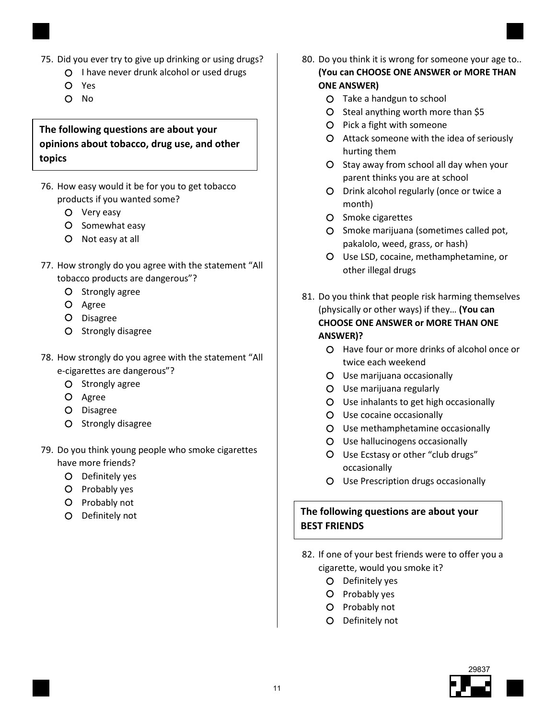- 75. Did you ever try to give up drinking or using drugs?
	- I have never drunk alcohol or used drugs
		- Yes
		- $O$  No

#### The following questions are about your opinions about tobacco, drug use, and other topics

- 76. How easy would it be for you to get tobacco products if you wanted some?
	- Very easy
	- O Somewhat easy
	- Not easy at all
- 77. How strongly do you agree with the statement "All tobacco products are dangerous"?
	- O Strongly agree
	- O Agree
	- O Disagree
	- O Strongly disagree
- 78. How strongly do you agree with the statement "All e-cigarettes are dangerous"?
	- O Strongly agree
	- O Agree
	- Disagree
	- O Strongly disagree
- 79. Do you think young people who smoke cigarettes have more friends?
	- Definitely yes
	- O Probably yes
	- O Probably not
	- O Definitely not
- 80. Do you think it is wrong for someone your age to... (You can CHOOSE ONE ANSWER or MORE THAN ONE ANSWER)
	- Take a handgun to school
	- $O$  Steal anything worth more than \$5
	- O Pick a fight with someone
	- Attack someone with the idea of seriously hurting them
	- O Stay away from school all day when your parent thinks you are at school
	- Drink alcohol regularly (once or twice a month)
	- O Smoke cigarettes
	- O Smoke marijuana (sometimes called pot, pakalolo, weed, grass, or hash)
	- Use LSD, cocaine, methamphetamine, or other illegal drugs
- 81. Do you think that people risk harming themselves (physically or other ways) if they... (You can CHOOSE ONE ANSWER or MORE THAN ONE ANSWER)?
	- Have four or more drinks of alcohol once or twice each weekend
	- Use marijuana occasionally
	- Use marijuana regularly
	- Use inhalants to get high occasionally
	- Use cocaine occasionally
	- Use methamphetamine occasionally
	- Use hallucinogens occasionally
	- Use Ecstasy or other "club drugs" occasionally
	- Use Prescription drugs occasionally

#### The following questions are about your BEST FRIENDS

- 82. If one of your best friends were to offer you a cigarette, would you smoke it?
	- O Definitely yes
	- O Probably yes
	- O Probably not
	- Definitely not

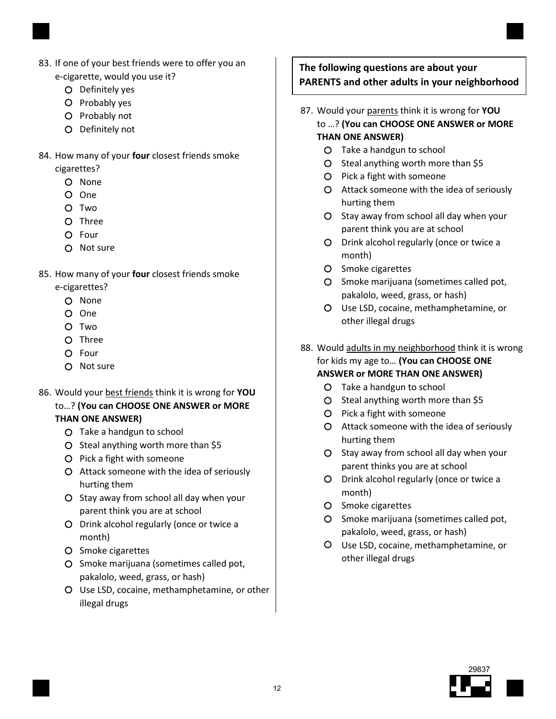

- 83. If one of your best friends were to offer you an e-cigarette, would you use it?
	- O Definitely yes
	- O Probably yes
	- O Probably not
	- Definitely not
- 84. How many of your four closest friends smoke cigarettes?
	- O None
	- One
	- O Two
	- O Three
	- O Four
	- O Not sure
- 85. How many of your four closest friends smoke
	- e-cigarettes?
		- O None
		- O One
		- O Two
		- O Three
		- O Four
		- O Not sure
- 86. Would your best friends think it is wrong for YOU to…? (You can CHOOSE ONE ANSWER or MORE THAN ONE ANSWER)
	- Take a handgun to school
	- O Steal anything worth more than \$5
	- O Pick a fight with someone
	- Attack someone with the idea of seriously hurting them
	- O Stay away from school all day when your parent think you are at school
	- O Drink alcohol regularly (once or twice a month)
	- O Smoke cigarettes
	- O Smoke marijuana (sometimes called pot, pakalolo, weed, grass, or hash)
	- Use LSD, cocaine, methamphetamine, or other illegal drugs

## The following questions are about your PARENTS and other adults in your neighborhood

- 87. Would your parents think it is wrong for YOU
	- to …? (You can CHOOSE ONE ANSWER or MORE THAN ONE ANSWER)
		- Take a handgun to school
		- $O$  Steal anything worth more than \$5
		- O Pick a fight with someone
		- Attack someone with the idea of seriously hurting them
		- O Stay away from school all day when your parent think you are at school
		- Drink alcohol regularly (once or twice a month)
		- O Smoke cigarettes
		- O Smoke marijuana (sometimes called pot, pakalolo, weed, grass, or hash)
		- Use LSD, cocaine, methamphetamine, or other illegal drugs
- 88. Would adults in my neighborhood think it is wrong for kids my age to... (You can CHOOSE ONE ANSWER or MORE THAN ONE ANSWER)
	- Take a handgun to school
	- $O$  Steal anything worth more than \$5
	- O Pick a fight with someone
	- Attack someone with the idea of seriously hurting them
	- O Stay away from school all day when your parent thinks you are at school
	- Drink alcohol regularly (once or twice a month)
	- O Smoke cigarettes
	- O Smoke marijuana (sometimes called pot, pakalolo, weed, grass, or hash)
	- Use LSD, cocaine, methamphetamine, or other illegal drugs

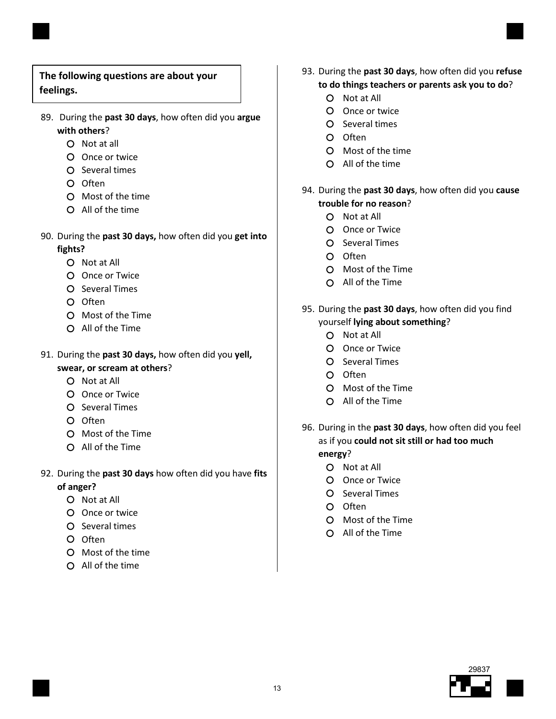

# The following questions are about your feelings.

- 89. During the past 30 days, how often did you argue with others?
	- O Not at all
	- Once or twice
	- O Several times
	- O Often
	- Most of the time
	- All of the time
- 90. During the past 30 days, how often did you get into fights?
	- O Not at All
	- O Once or Twice
	- O Several Times
	- $O$  Often
	- Most of the Time
	- All of the Time
- 91. During the past 30 days, how often did you yell,
	- swear, or scream at others?
		- O Not at All
		- Once or Twice
		- O Several Times
		- O Often
		- Most of the Time
		- All of the Time
- 92. During the past 30 days how often did you have fits of anger?
	- O Not at All
	- O Once or twice
	- O Several times
	- O Often
	- Most of the time
	- All of the time
- 93. During the past 30 days, how often did you refuse to do things teachers or parents ask you to do?
	- Not at All
	- Once or twice
	- O Several times
	- O Often
	- Most of the time
	- All of the time
- 94. During the past 30 days, how often did you cause trouble for no reason?
	- Not at All
	- Once or Twice
	- O Several Times
	- O Often
	- Most of the Time
	- All of the Time
- 95. During the past 30 days, how often did you find yourself lying about something?
	- O Not at All
	- Once or Twice
	- O Several Times
	- O Often
	- Most of the Time
	- $O$  All of the Time
- 96. During in the past 30 days, how often did you feel as if you could not sit still or had too much energy?
	- Not at All
	- Once or Twice
	- O Several Times
	- O Often
	- Most of the Time
	- All of the Time